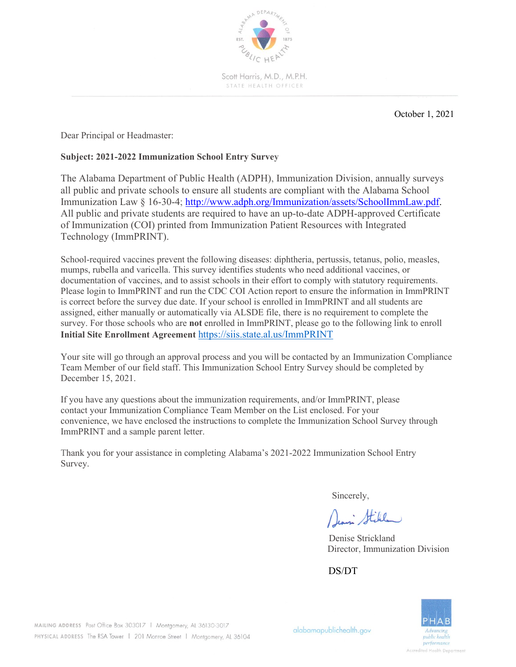

Scott Harris, M.D., M.P.H. STATE HEALTH OFFICER

October 1, 2021

Dear Principal or Headmaster:

## **Subject: 2021-2022 Immunization School Entry Survey**

The Alabama Department of Public Health (ADPH), Immunization Division, annually surveys all public and private schools to ensure all students are compliant with the Alabama School Immunization Law § 16-30-4; http://www.adph.org/Immunization/assets/SchoolImmLaw.pdf. All public and private students are required to have an up-to-date ADPH-approved Certificate of Immunization (COI) printed from Immunization Patient Resources with Integrated Technology (ImmPRINT).

School-required vaccines prevent the following diseases: diphtheria, pertussis, tetanus, polio, measles, mumps, rubella and varicella. This survey identifies students who need additional vaccines, or documentation of vaccines, and to assist schools in their effort to comply with statutory requirements. Please login to ImmPRINT and run the CDC COI Action report to ensure the information in ImmPRINT is correct before the survey due date. If your school is enrolled in ImmPRINT and all students are assigned, either manually or automatically via ALSDE file, there is no requirement to complete the survey. For those schools who are **not** enrolled in ImmPRINT, please go to the following link to enroll **Initial Site Enrollment Agreement** <https://siis.state.al.us/ImmPRINT>

Your site will go through an approval process and you will be contacted by an Immunization Compliance Team Member of our field staff. This Immunization School Entry Survey should be completed by December 15, 2021.

If you have any questions about the immunization requirements, and/or ImmPRINT, please contact your Immunization Compliance Team Member on the List enclosed. For your convenience, we have enclosed the instructions to complete the Immunization School Survey through ImmPRINT and a sample parent letter.

Thank you for your assistance in completing Alabama's 2021-2022 Immunization School Entry Survey.

Sincerely,

Deani Still

 Denise Strickland Director, Immunization Division

DS/DT



MAILING ADDRESS Post Office Box 303017 | Montgomery, AL 36130-3017 PHYSICAL ADDRESS The RSA Tower | 201 Monroe Street | Montgomery, AL 36104

alabamapublichealth.gov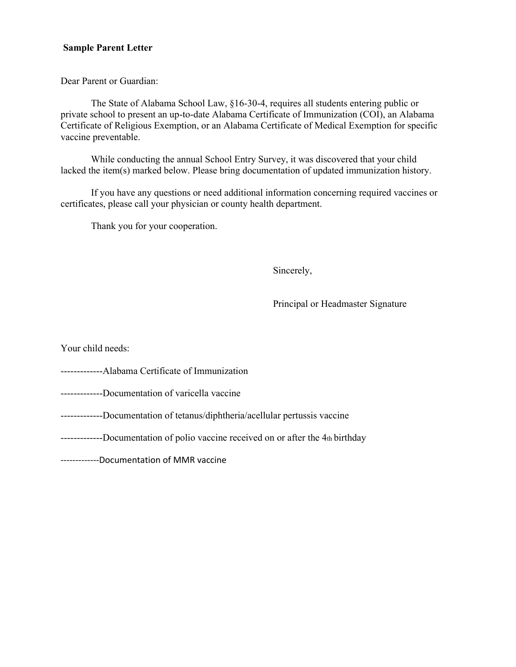### **Sample Parent Letter**

Dear Parent or Guardian:

The State of Alabama School Law, §16-30-4, requires all students entering public or private school to present an up-to-date Alabama Certificate of Immunization (COI), an Alabama Certificate of Religious Exemption, or an Alabama Certificate of Medical Exemption for specific vaccine preventable.

While conducting the annual School Entry Survey, it was discovered that your child lacked the item(s) marked below. Please bring documentation of updated immunization history.

If you have any questions or need additional information concerning required vaccines or certificates, please call your physician or county health department.

Thank you for your cooperation.

Sincerely,

Principal or Headmaster Signature

Your child needs:

- -------------Alabama Certificate of Immunization
- -------------Documentation of varicella vaccine
- -------------Documentation of tetanus/diphtheria/acellular pertussis vaccine
- -------------Documentation of polio vaccine received on or after the 4th birthday

-------------Documentation of MMR vaccine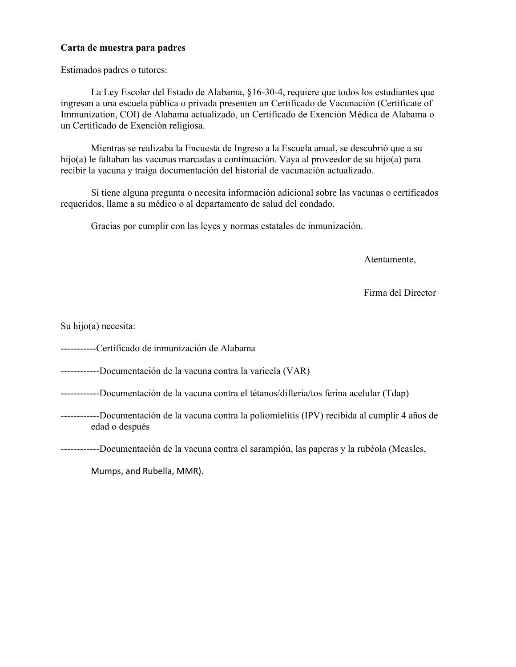### **Carta de muestra para padres**

Estimados padres o tutores:

La Ley Escolar del Estado de Alabama, §16-30-4, requiere que todos los estudiantes que ingresan a una escuela pública o privada presenten un Certificado de Vacunación (Certificate of Immunization, COI) de Alabama actualizado, un Certificado de Exención Médica de Alabama o un Certificado de Exención religiosa.

Mientras se realizaba la Encuesta de Ingreso a la Escuela anual, se descubrió que a su hijo(a) le faltaban las vacunas marcadas a continuación. Vaya al proveedor de su hijo(a) para recibir la vacuna y traiga documentación del historial de vacunación actualizado.

Si tiene alguna pregunta o necesita información adicional sobre las vacunas o certificados requeridos, llame a su médico o al departamento de salud del condado.

Gracias por cumplir con las leyes y normas estatales de inmunización.

Atentamente,

Firma del Director

Su hijo(a) necesita:

-----------Certificado de inmunización de Alabama

------------Documentación de la vacuna contra la varicela (VAR)

------------Documentación de la vacuna contra el tétanos/difteria/tos ferina acelular (Tdap)

------------Documentación de la vacuna contra la poliomielitis (IPV) recibida al cumplir 4 años de edad o después

------------Documentación de la vacuna contra el sarampión, las paperas y la rubéola (Measles,

Mumps, and Rubella, MMR).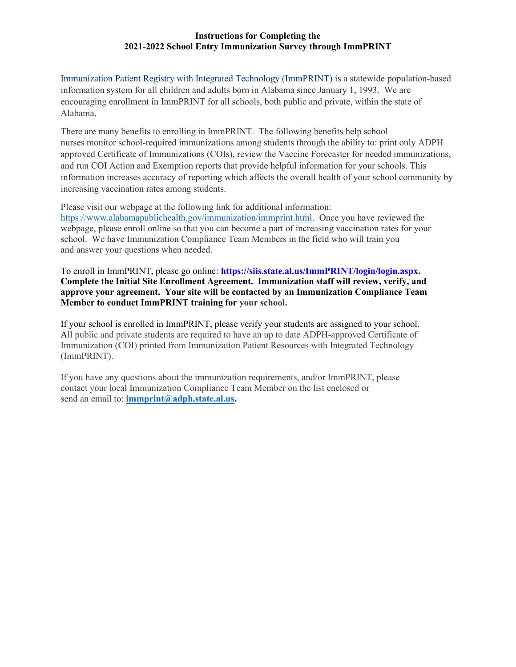#### **Instructions for Completing the 2021-2022 School Entry Immunization Survey through ImmPRINT**

[Immunization Patient Registry with Integrated Technology \(ImmPRINT\)](https://siis.state.al.us/ImmPrint/login/login.aspx) is a statewide population-based information system for all children and adults born in Alabama since January 1, 1993. We are encouraging enrollment in ImmPRINT for all schools, both public and private, within the state of Alabama.

There are many benefits to enrolling in ImmPRINT. The following benefits help school nurses monitor school-required immunizations among students through the ability to: print only ADPH approved Certificate of Immunizations (COIs), review the Vaccine Forecaster for needed immunizations, and run COI Action and Exemption reports that provide helpful information for your schools. This information increases accuracy of reporting which affects the overall health of your school community by increasing vaccination rates among students.

Please visit our webpage at the following link for additional information: [https://www.alabamapublichealth.gov/immunization/immprint.html.](https://www.alabamapublichealth.gov/immunization/immprint.html) Once you have reviewed the webpage, please enroll online so that you can become a part of increasing vaccination rates for your school. We have Immunization Compliance Team Members in the field who will train you and answer your questions when needed.

To enroll in ImmPRINT, please go online: **[https://siis.state.al.us/ImmPRINT/login/login.aspx.](https://siis.state.al.us/ImmPRINT/login/login.aspx) Complete the Initial Site Enrollment Agreement. Immunization staff will review, verify, and approve your agreement. Your site will be contacted by an Immunization Compliance Team Member to conduct ImmPRINT training for your school.** 

If your school is enrolled in ImmPRINT, please verify your students are assigned to your school. All public and private students are required to have an up to date ADPH-approved Certificate of Immunization (COI) printed from Immunization Patient Resources with Integrated Technology (ImmPRINT).

If you have any questions about the immunization requirements, and/or ImmPRINT, please contact your local Immunization Compliance Team Member on the list enclosed or send an email to: **[immprint@adph.state.al.us.](mailto:immprint@adph.state.al.us)**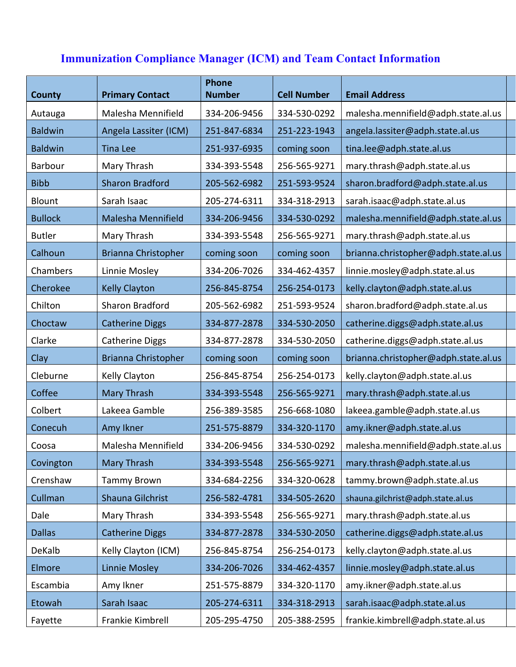# **Immunization Compliance Manager (ICM) and Team Contact Information**

| <b>County</b>  | <b>Primary Contact</b>     | <b>Phone</b><br><b>Number</b> | <b>Cell Number</b> | <b>Email Address</b>                 |
|----------------|----------------------------|-------------------------------|--------------------|--------------------------------------|
| Autauga        | Malesha Mennifield         | 334-206-9456                  | 334-530-0292       | malesha.mennifield@adph.state.al.us  |
| <b>Baldwin</b> | Angela Lassiter (ICM)      | 251-847-6834                  | 251-223-1943       | angela.lassiter@adph.state.al.us     |
| <b>Baldwin</b> | <b>Tina Lee</b>            | 251-937-6935                  | coming soon        | tina.lee@adph.state.al.us            |
| <b>Barbour</b> | Mary Thrash                | 334-393-5548                  | 256-565-9271       | mary.thrash@adph.state.al.us         |
| <b>Bibb</b>    | <b>Sharon Bradford</b>     | 205-562-6982                  | 251-593-9524       | sharon.bradford@adph.state.al.us     |
| Blount         | Sarah Isaac                | 205-274-6311                  | 334-318-2913       | sarah.isaac@adph.state.al.us         |
| <b>Bullock</b> | <b>Malesha Mennifield</b>  | 334-206-9456                  | 334-530-0292       | malesha.mennifield@adph.state.al.us  |
| <b>Butler</b>  | Mary Thrash                | 334-393-5548                  | 256-565-9271       | mary.thrash@adph.state.al.us         |
| Calhoun        | Brianna Christopher        | coming soon                   | coming soon        | brianna.christopher@adph.state.al.us |
| Chambers       | Linnie Mosley              | 334-206-7026                  | 334-462-4357       | linnie.mosley@adph.state.al.us       |
| Cherokee       | <b>Kelly Clayton</b>       | 256-845-8754                  | 256-254-0173       | kelly.clayton@adph.state.al.us       |
| Chilton        | Sharon Bradford            | 205-562-6982                  | 251-593-9524       | sharon.bradford@adph.state.al.us     |
| Choctaw        | <b>Catherine Diggs</b>     | 334-877-2878                  | 334-530-2050       | catherine.diggs@adph.state.al.us     |
| Clarke         | <b>Catherine Diggs</b>     | 334-877-2878                  | 334-530-2050       | catherine.diggs@adph.state.al.us     |
| Clay           | <b>Brianna Christopher</b> | coming soon                   | coming soon        | brianna.christopher@adph.state.al.us |
| Cleburne       | Kelly Clayton              | 256-845-8754                  | 256-254-0173       | kelly.clayton@adph.state.al.us       |
| Coffee         | <b>Mary Thrash</b>         | 334-393-5548                  | 256-565-9271       | mary.thrash@adph.state.al.us         |
| Colbert        | Lakeea Gamble              | 256-389-3585                  | 256-668-1080       | lakeea.gamble@adph.state.al.us       |
| Conecuh        | Amy Ikner                  | 251-575-8879                  | 334-320-1170       | amy.ikner@adph.state.al.us           |
| Coosa          | Malesha Mennifield         | 334-206-9456                  | 334-530-0292       | malesha.mennifield@adph.state.al.us  |
| Covington      | Mary Thrash                | 334-393-5548                  | 256-565-9271       | mary.thrash@adph.state.al.us         |
| Crenshaw       | <b>Tammy Brown</b>         | 334-684-2256                  | 334-320-0628       | tammy.brown@adph.state.al.us         |
| Cullman        | Shauna Gilchrist           | 256-582-4781                  | 334-505-2620       | shauna.gilchrist@adph.state.al.us    |
| Dale           | Mary Thrash                | 334-393-5548                  | 256-565-9271       | mary.thrash@adph.state.al.us         |
| <b>Dallas</b>  | <b>Catherine Diggs</b>     | 334-877-2878                  | 334-530-2050       | catherine.diggs@adph.state.al.us     |
| DeKalb         | Kelly Clayton (ICM)        | 256-845-8754                  | 256-254-0173       | kelly.clayton@adph.state.al.us       |
| Elmore         | <b>Linnie Mosley</b>       | 334-206-7026                  | 334-462-4357       | linnie.mosley@adph.state.al.us       |
| Escambia       | Amy Ikner                  | 251-575-8879                  | 334-320-1170       | amy.ikner@adph.state.al.us           |
| Etowah         | Sarah Isaac                | 205-274-6311                  | 334-318-2913       | sarah.isaac@adph.state.al.us         |
| Fayette        | Frankie Kimbrell           | 205-295-4750                  | 205-388-2595       | frankie.kimbrell@adph.state.al.us    |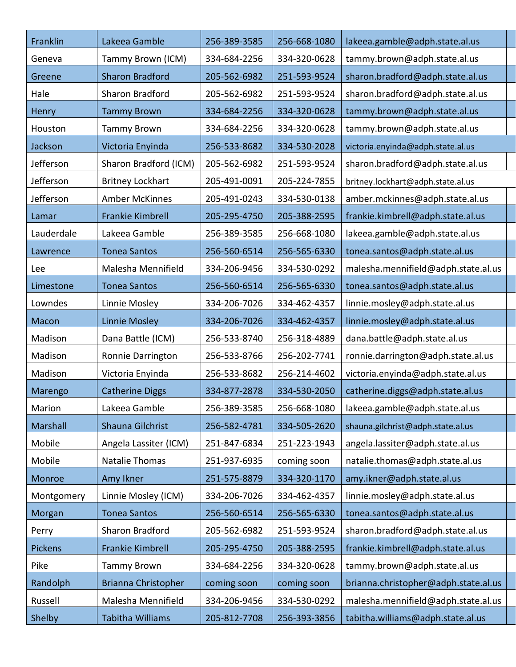| Franklin   | Lakeea Gamble           | 256-389-3585 | 256-668-1080 | lakeea.gamble@adph.state.al.us       |
|------------|-------------------------|--------------|--------------|--------------------------------------|
| Geneva     | Tammy Brown (ICM)       | 334-684-2256 | 334-320-0628 | tammy.brown@adph.state.al.us         |
| Greene     | <b>Sharon Bradford</b>  | 205-562-6982 | 251-593-9524 | sharon.bradford@adph.state.al.us     |
| Hale       | Sharon Bradford         | 205-562-6982 | 251-593-9524 | sharon.bradford@adph.state.al.us     |
| Henry      | <b>Tammy Brown</b>      | 334-684-2256 | 334-320-0628 | tammy.brown@adph.state.al.us         |
| Houston    | <b>Tammy Brown</b>      | 334-684-2256 | 334-320-0628 | tammy.brown@adph.state.al.us         |
| Jackson    | Victoria Enyinda        | 256-533-8682 | 334-530-2028 | victoria.enyinda@adph.state.al.us    |
| Jefferson  | Sharon Bradford (ICM)   | 205-562-6982 | 251-593-9524 | sharon.bradford@adph.state.al.us     |
| Jefferson  | <b>Britney Lockhart</b> | 205-491-0091 | 205-224-7855 | britney.lockhart@adph.state.al.us    |
| Jefferson  | Amber McKinnes          | 205-491-0243 | 334-530-0138 | amber.mckinnes@adph.state.al.us      |
| Lamar      | Frankie Kimbrell        | 205-295-4750 | 205-388-2595 | frankie.kimbrell@adph.state.al.us    |
| Lauderdale | Lakeea Gamble           | 256-389-3585 | 256-668-1080 | lakeea.gamble@adph.state.al.us       |
| Lawrence   | <b>Tonea Santos</b>     | 256-560-6514 | 256-565-6330 | tonea.santos@adph.state.al.us        |
| Lee        | Malesha Mennifield      | 334-206-9456 | 334-530-0292 | malesha.mennifield@adph.state.al.us  |
| Limestone  | <b>Tonea Santos</b>     | 256-560-6514 | 256-565-6330 | tonea.santos@adph.state.al.us        |
| Lowndes    | Linnie Mosley           | 334-206-7026 | 334-462-4357 | linnie.mosley@adph.state.al.us       |
| Macon      | <b>Linnie Mosley</b>    | 334-206-7026 | 334-462-4357 | linnie.mosley@adph.state.al.us       |
| Madison    | Dana Battle (ICM)       | 256-533-8740 | 256-318-4889 | dana.battle@adph.state.al.us         |
| Madison    | Ronnie Darrington       | 256-533-8766 | 256-202-7741 | ronnie.darrington@adph.state.al.us   |
| Madison    | Victoria Enyinda        | 256-533-8682 | 256-214-4602 | victoria.enyinda@adph.state.al.us    |
| Marengo    | <b>Catherine Diggs</b>  | 334-877-2878 | 334-530-2050 | catherine.diggs@adph.state.al.us     |
| Marion     | Lakeea Gamble           | 256-389-3585 | 256-668-1080 | lakeea.gamble@adph.state.al.us       |
| Marshall   | Shauna Gilchrist        | 256-582-4781 | 334-505-2620 | shauna.gilchrist@adph.state.al.us    |
| Mobile     | Angela Lassiter (ICM)   | 251-847-6834 | 251-223-1943 | angela.lassiter@adph.state.al.us     |
| Mobile     | <b>Natalie Thomas</b>   | 251-937-6935 | coming soon  | natalie.thomas@adph.state.al.us      |
| Monroe     | Amy Ikner               | 251-575-8879 | 334-320-1170 | amy.ikner@adph.state.al.us           |
| Montgomery | Linnie Mosley (ICM)     | 334-206-7026 | 334-462-4357 | linnie.mosley@adph.state.al.us       |
| Morgan     | <b>Tonea Santos</b>     | 256-560-6514 | 256-565-6330 | tonea.santos@adph.state.al.us        |
| Perry      | Sharon Bradford         | 205-562-6982 | 251-593-9524 | sharon.bradford@adph.state.al.us     |
| Pickens    | Frankie Kimbrell        | 205-295-4750 | 205-388-2595 | frankie.kimbrell@adph.state.al.us    |
| Pike       | <b>Tammy Brown</b>      | 334-684-2256 | 334-320-0628 | tammy.brown@adph.state.al.us         |
| Randolph   | Brianna Christopher     | coming soon  | coming soon  | brianna.christopher@adph.state.al.us |
| Russell    | Malesha Mennifield      | 334-206-9456 | 334-530-0292 | malesha.mennifield@adph.state.al.us  |
| Shelby     | Tabitha Williams        | 205-812-7708 | 256-393-3856 | tabitha.williams@adph.state.al.us    |